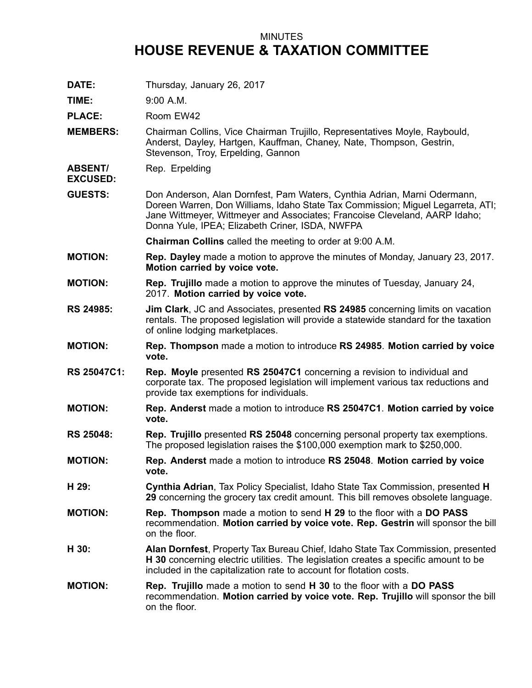## MINUTES **HOUSE REVENUE & TAXATION COMMITTEE**

**DATE:** Thursday, January 26, 2017

**TIME:** 9:00 A.M.

PLACE: Room EW42

- **MEMBERS:** Chairman Collins, Vice Chairman Trujillo, Representatives Moyle, Raybould, Anderst, Dayley, Hartgen, Kauffman, Chaney, Nate, Thompson, Gestrin, Stevenson, Troy, Erpelding, Gannon
- **ABSENT/** Rep. Erpelding

**EXCUSED:**

**GUESTS:** Don Anderson, Alan Dornfest, Pam Waters, Cynthia Adrian, Marni Odermann, Doreen Warren, Don Williams, Idaho State Tax Commission; Miguel Legarreta, ATI; Jane Wittmeyer, Wittmeyer and Associates; Francoise Cleveland, AARP Idaho; Donna Yule, IPEA; Elizabeth Criner, ISDA, NWFPA

**Chairman Collins** called the meeting to order at 9:00 A.M.

- **MOTION: Rep. Dayley** made <sup>a</sup> motion to approve the minutes of Monday, January 23, 2017. **Motion carried by voice vote.**
- **MOTION: Rep. Trujillo** made <sup>a</sup> motion to approve the minutes of Tuesday, January 24, 2017. **Motion carried by voice vote.**
- **RS 24985: Jim Clark**, JC and Associates, presented **RS 24985** concerning limits on vacation rentals. The proposed legislation will provide <sup>a</sup> statewide standard for the taxation of online lodging marketplaces.
- **MOTION: Rep. Thompson** made <sup>a</sup> motion to introduce **RS 24985**. **Motion carried by voice vote.**
- **RS 25047C1: Rep. Moyle** presented **RS 25047C1** concerning <sup>a</sup> revision to individual and corporate tax. The proposed legislation will implement various tax reductions and provide tax exemptions for individuals.
- **MOTION: Rep. Anderst** made <sup>a</sup> motion to introduce **RS 25047C1**. **Motion carried by voice vote.**
- **RS 25048: Rep. Trujillo** presented **RS 25048** concerning personal property tax exemptions. The proposed legislation raises the \$100,000 exemption mark to \$250,000.
- **MOTION: Rep. Anderst** made <sup>a</sup> motion to introduce **RS 25048**. **Motion carried by voice vote.**
- **H 29: Cynthia Adrian**, Tax Policy Specialist, Idaho State Tax Commission, presented **H 29** concerning the grocery tax credit amount. This bill removes obsolete language.
- **MOTION: Rep. Thompson** made <sup>a</sup> motion to send **H 29** to the floor with <sup>a</sup> **DO PASS** recommendation. **Motion carried by voice vote. Rep. Gestrin** will sponsor the bill on the floor.
- **H 30: Alan Dornfest**, Property Tax Bureau Chief, Idaho State Tax Commission, presented **H 30** concerning electric utilities. The legislation creates <sup>a</sup> specific amount to be included in the capitalization rate to account for flotation costs.
- **MOTION: Rep. Trujillo** made <sup>a</sup> motion to send **H 30** to the floor with <sup>a</sup> **DO PASS** recommendation. **Motion carried by voice vote. Rep. Trujillo** will sponsor the bill on the floor.